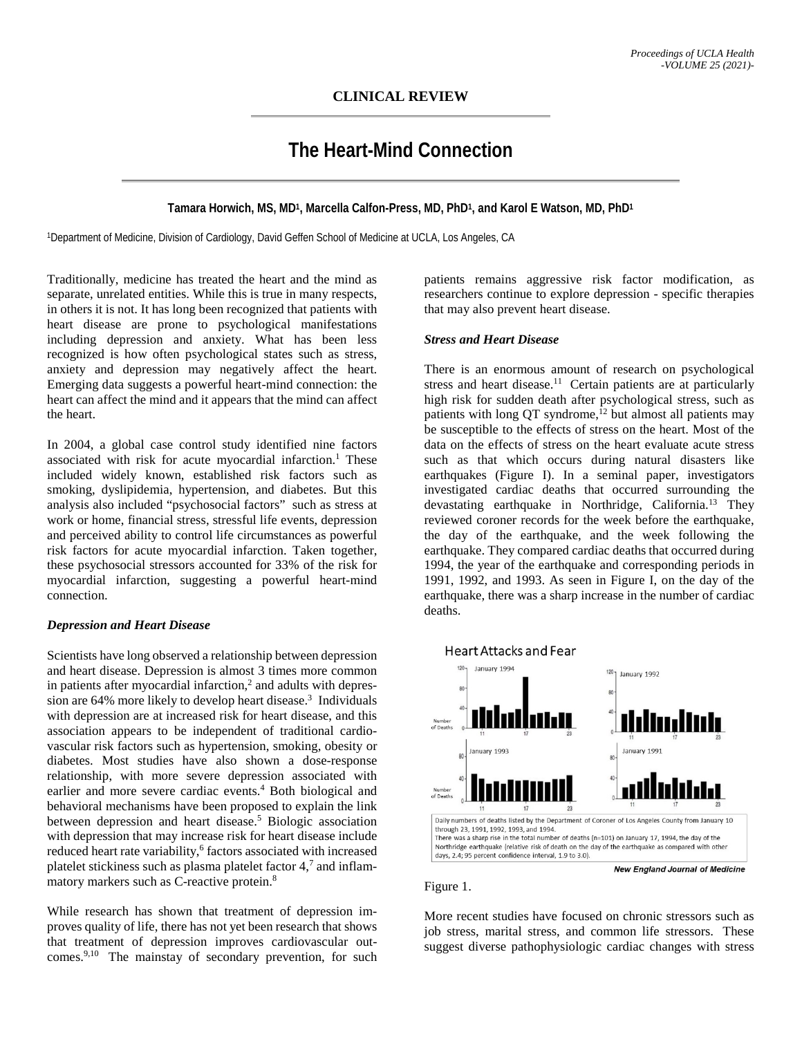# **The Heart-Mind Connection**

## **Tamara Horwich, MS, MD1, Marcella Calfon-Press, MD, PhD1, and Karol E Watson, MD, PhD1**

1Department of Medicine, Division of Cardiology, David Geffen School of Medicine at UCLA, Los Angeles, CA

Traditionally, medicine has treated the heart and the mind as separate, unrelated entities. While this is true in many respects, in others it is not. It has long been recognized that patients with heart disease are prone to psychological manifestations including depression and anxiety. What has been less recognized is how often psychological states such as stress, anxiety and depression may negatively affect the heart. Emerging data suggests a powerful heart-mind connection: the heart can affect the mind and it appears that the mind can affect the heart.

In 2004, a global case control study identified nine factors associated with risk for acute myocardial infarction.<sup>1</sup> These included widely known, established risk factors such as smoking, dyslipidemia, hypertension, and diabetes. But this analysis also included "psychosocial factors" such as stress at work or home, financial stress, stressful life events, depression and perceived ability to control life circumstances as powerful risk factors for acute myocardial infarction. Taken together, these psychosocial stressors accounted for 33% of the risk for myocardial infarction, suggesting a powerful heart-mind connection.

#### *Depression and Heart Disease*

Scientists have long observed a relationship between depression and heart disease. Depression is almost 3 times more common in patients after myocardial infarction, $<sup>2</sup>$  and adults with depres-</sup> sion are 64% more likely to develop heart disease.<sup>3</sup> Individuals with depression are at increased risk for heart disease, and this association appears to be independent of traditional cardiovascular risk factors such as hypertension, smoking, obesity or diabetes. Most studies have also shown a dose-response relationship, with more severe depression associated with earlier and more severe cardiac events.<sup>4</sup> Both biological and behavioral mechanisms have been proposed to explain the link between depression and heart disease.<sup>5</sup> Biologic association with depression that may increase risk for heart disease include reduced heart rate variability,<sup>6</sup> factors associated with increased platelet stickiness such as plasma platelet factor 4,7 and inflammatory markers such as C-reactive protein.<sup>8</sup>

While research has shown that treatment of depression improves quality of life, there has not yet been research that shows that treatment of depression improves cardiovascular outcomes.<sup>9,10</sup> The mainstay of secondary prevention, for such patients remains aggressive risk factor modification, as researchers continue to explore depression - specific therapies that may also prevent heart disease.

## *Stress and Heart Disease*

There is an enormous amount of research on psychological stress and heart disease.<sup>11</sup> Certain patients are at particularly high risk for sudden death after psychological stress, such as patients with long QT syndrome,<sup>12</sup> but almost all patients may be susceptible to the effects of stress on the heart. Most of the data on the effects of stress on the heart evaluate acute stress such as that which occurs during natural disasters like earthquakes (Figure I). In a seminal paper, investigators investigated cardiac deaths that occurred surrounding the devastating earthquake in Northridge, California.13 They reviewed coroner records for the week before the earthquake, the day of the earthquake, and the week following the earthquake. They compared cardiac deaths that occurred during 1994, the year of the earthquake and corresponding periods in 1991, 1992, and 1993. As seen in Figure I, on the day of the earthquake, there was a sharp increase in the number of cardiac deaths.





More recent studies have focused on chronic stressors such as job stress, marital stress, and common life stressors. These suggest diverse pathophysiologic cardiac changes with stress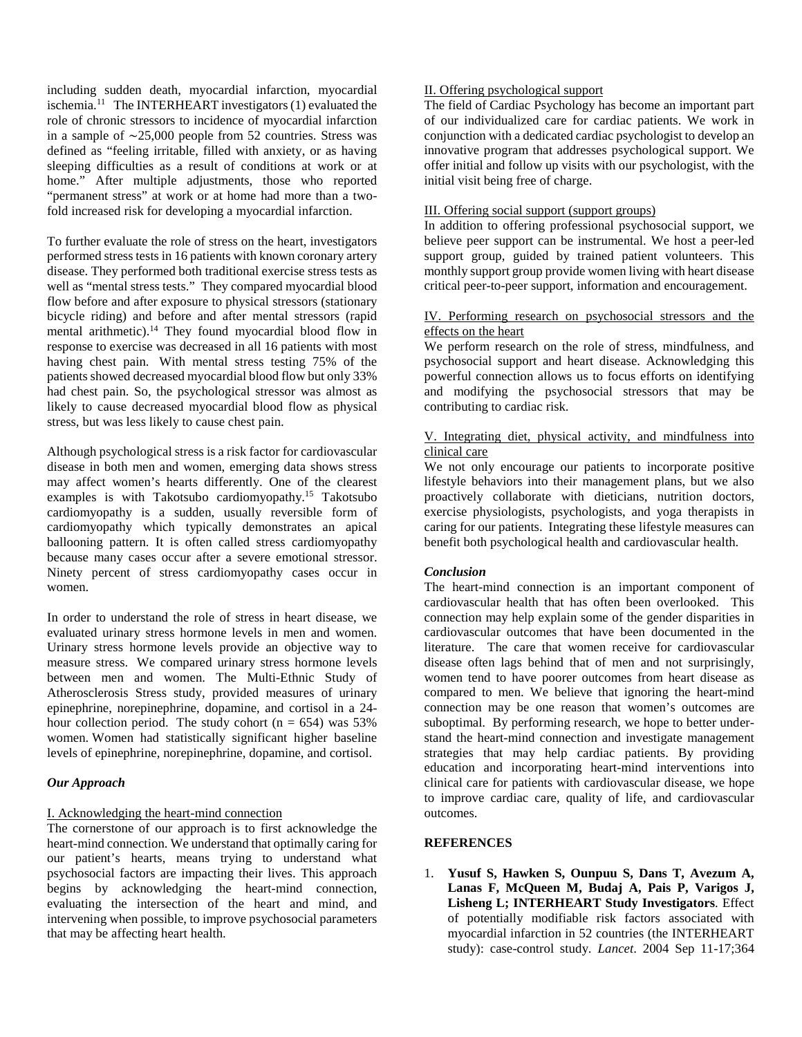including sudden death, myocardial infarction, myocardial ischemia.11 The INTERHEART investigators (1) evaluated the role of chronic stressors to incidence of myocardial infarction in a sample of ∼25,000 people from 52 countries. Stress was defined as "feeling irritable, filled with anxiety, or as having sleeping difficulties as a result of conditions at work or at home." After multiple adjustments, those who reported "permanent stress" at work or at home had more than a twofold increased risk for developing a myocardial infarction.

To further evaluate the role of stress on the heart, investigators performed stress tests in 16 patients with known coronary artery disease. They performed both traditional exercise stress tests as well as "mental stress tests." They compared myocardial blood flow before and after exposure to physical stressors (stationary bicycle riding) and before and after mental stressors (rapid mental arithmetic).14 They found myocardial blood flow in response to exercise was decreased in all 16 patients with most having chest pain. With mental stress testing 75% of the patients showed decreased myocardial blood flow but only 33% had chest pain. So, the psychological stressor was almost as likely to cause decreased myocardial blood flow as physical stress, but was less likely to cause chest pain.

Although psychological stress is a risk factor for cardiovascular disease in both men and women, emerging data shows stress may affect women's hearts differently. One of the clearest examples is with Takotsubo cardiomyopathy.15 Takotsubo cardiomyopathy is a sudden, usually reversible form of cardiomyopathy which typically demonstrates an apical ballooning pattern. It is often called stress cardiomyopathy because many cases occur after a severe emotional stressor. Ninety percent of stress cardiomyopathy cases occur in women.

In order to understand the role of stress in heart disease, we evaluated urinary stress hormone levels in men and women. Urinary stress hormone levels provide an objective way to measure stress. We compared urinary stress hormone levels between men and women. The Multi-Ethnic Study of Atherosclerosis Stress study, provided measures of urinary epinephrine, norepinephrine, dopamine, and cortisol in a 24 hour collection period. The study cohort ( $n = 654$ ) was 53% women. Women had statistically significant higher baseline levels of epinephrine, norepinephrine, dopamine, and cortisol.

## *Our Approach*

## I. Acknowledging the heart-mind connection

The cornerstone of our approach is to first acknowledge the heart-mind connection. We understand that optimally caring for our patient's hearts, means trying to understand what psychosocial factors are impacting their lives. This approach begins by acknowledging the heart-mind connection, evaluating the intersection of the heart and mind, and intervening when possible, to improve psychosocial parameters that may be affecting heart health.

#### II. Offering psychological support

The field of Cardiac Psychology has become an important part of our individualized care for cardiac patients. We work in conjunction with a dedicated cardiac psychologist to develop an innovative program that addresses psychological support. We offer initial and follow up visits with our psychologist, with the initial visit being free of charge.

## III. Offering social support (support groups)

In addition to offering professional psychosocial support, we believe peer support can be instrumental. We host a peer-led support group, guided by trained patient volunteers. This monthly support group provide women living with heart disease critical peer-to-peer support, information and encouragement.

# IV. Performing research on psychosocial stressors and the effects on the heart

We perform research on the role of stress, mindfulness, and psychosocial support and heart disease. Acknowledging this powerful connection allows us to focus efforts on identifying and modifying the psychosocial stressors that may be contributing to cardiac risk.

## V. Integrating diet, physical activity, and mindfulness into clinical care

We not only encourage our patients to incorporate positive lifestyle behaviors into their management plans, but we also proactively collaborate with dieticians, nutrition doctors, exercise physiologists, psychologists, and yoga therapists in caring for our patients. Integrating these lifestyle measures can benefit both psychological health and cardiovascular health.

#### *Conclusion*

The heart-mind connection is an important component of cardiovascular health that has often been overlooked. This connection may help explain some of the gender disparities in cardiovascular outcomes that have been documented in the literature. The care that women receive for cardiovascular disease often lags behind that of men and not surprisingly, women tend to have poorer outcomes from heart disease as compared to men. We believe that ignoring the heart-mind connection may be one reason that women's outcomes are suboptimal. By performing research, we hope to better understand the heart-mind connection and investigate management strategies that may help cardiac patients. By providing education and incorporating heart-mind interventions into clinical care for patients with cardiovascular disease, we hope to improve cardiac care, quality of life, and cardiovascular outcomes.

# **REFERENCES**

1. **Yusuf S, Hawken S, Ounpuu S, Dans T, Avezum A, Lanas F, McQueen M, Budaj A, Pais P, Varigos J, Lisheng L; INTERHEART Study Investigators**. Effect of potentially modifiable risk factors associated with myocardial infarction in 52 countries (the INTERHEART study): case-control study. *Lancet*. 2004 Sep 11-17;364